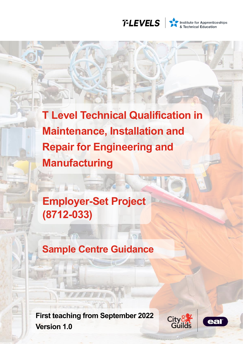

Institute for Apprenticeships<br>
& Technical Education

**T Level Technical Qualification in Maintenance, Installation and Repair for Engineering and Manufacturing**

 $R$ 

**Employer-Set Project (8712-033)**

# **Sample Centre Guidance**

**First teaching from September 2022 Version 1.0**



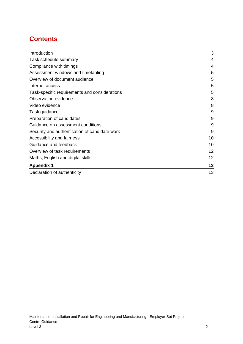## **Contents**

| Introduction                                  | 3  |
|-----------------------------------------------|----|
| Task schedule summary                         | 4  |
| Compliance with timings                       | 4  |
| Assessment windows and timetabling            | 5  |
| Overview of document audience                 | 5  |
| Internet access                               | 5  |
| Task-specific requirements and considerations | 5  |
| Observation evidence                          | 8  |
| Video evidence                                | 8  |
| Task guidance                                 | 9  |
| Preparation of candidates                     | 9  |
| Guidance on assessment conditions             | 9  |
| Security and authentication of candidate work | 9  |
| Accessibility and fairness                    | 10 |
| Guidance and feedback                         | 10 |
| Overview of task requirements                 | 12 |
| Maths, English and digital skills             | 12 |
| <b>Appendix 1</b>                             | 13 |
| Declaration of authenticity                   | 13 |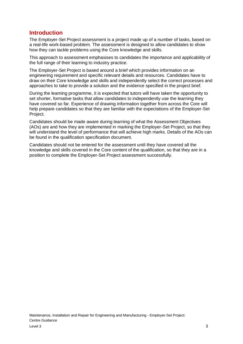#### <span id="page-2-0"></span>**Introduction**

The Employer-Set Project assessment is a project made up of a number of tasks, based on a real-life work-based problem. The assessment is designed to allow candidates to show how they can tackle problems using the Core knowledge and skills.

This approach to assessment emphasises to candidates the importance and applicability of the full range of their learning to industry practice.

The Employer-Set Project is based around a brief which provides information on an engineering requirement and specific relevant details and resources. Candidates have to draw on their Core knowledge and skills and independently select the correct processes and approaches to take to provide a solution and the evidence specified in the project brief.

During the learning programme, it is expected that tutors will have taken the opportunity to set shorter, formative tasks that allow candidates to independently use the learning they have covered so far. Experience of drawing information together from across the Core will help prepare candidates so that they are familiar with the expectations of the Employer-Set Project.

Candidates should be made aware during learning of what the Assessment Objectives (AOs) are and how they are implemented in marking the Employer-Set Project, so that they will understand the level of performance that will achieve high marks. Details of the AOs can be found in the qualification specification document.

Candidates should not be entered for the assessment until they have covered all the knowledge and skills covered in the Core content of the qualification, so that they are in a position to complete the Employer-Set Project assessment successfully.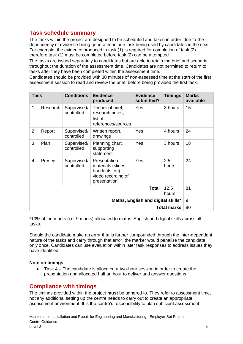### <span id="page-3-0"></span>**Task schedule summary**

The tasks within the project are designed to be scheduled and taken in order, due to the dependency of evidence being generated in one task being used by candidates in the next. For example, the evidence produced in task (1) is required for completion of task (2) therefore task (1) must be completed before task (2) can be attempted.

The tasks are issued separately to candidates but are able to retain the brief and scenario throughout the duration of the assessment time. Candidates are not permitted to return to tasks after they have been completed within the assessment time.

Candidates should be provided with 30 minutes of non-assessed time at the start of the first assessment session to read and review the brief, before being provided the first task.

| <b>Task</b>                        |          | <b>Conditions</b>         | <b>Evidence</b><br>produced                                                                | <b>Evidence</b><br>submitted? | <b>Timings</b> | <b>Marks</b><br>available |
|------------------------------------|----------|---------------------------|--------------------------------------------------------------------------------------------|-------------------------------|----------------|---------------------------|
| $\mathbf{1}$                       | Research | Supervised/<br>controlled | Technical brief,<br>research notes,<br>list of<br>references/sources                       | Yes                           | 3 hours        | 15                        |
| $\overline{2}$                     | Report   | Supervised/<br>controlled | Written report,<br>drawings                                                                | Yes                           | 4 hours        | 24                        |
| 3                                  | Plan     | Supervised/<br>controlled | Planning chart,<br>supporting<br>statement                                                 | Yes                           | 3 hours        | 18                        |
| 4                                  | Present  | Supervised/<br>controlled | Presentation<br>materials (slides,<br>handouts etc),<br>video recording of<br>presentation | Yes                           | 2.5<br>hours   | 24                        |
| 12.5<br><b>Total</b><br>hours      |          |                           |                                                                                            |                               | 81             |                           |
| Maths, English and digital skills* |          |                           |                                                                                            | 9                             |                |                           |
| <b>Total marks</b>                 |          |                           |                                                                                            | 90                            |                |                           |

\*10% of the marks (i.e. 9 marks) allocated to maths, English and digital skills across all tasks.

Should the candidate make an error that is further compounded through the inter-dependent nature of the tasks and carry through that error, the marker would penalise the candidate only once. Candidates can use evaluation within later task responses to address issues they have identified.

#### **Note on timings**

• Task 4 – The candidate is allocated a two-hour session in order to create the presentation and allocated half an hour to deliver and answer questions.

### <span id="page-3-1"></span>**Compliance with timings**

The timings provided within the project **must** be adhered to. They refer to assessment time, not any additional setting up the centre needs to carry out to create an appropriate assessment environment. It is the centre's responsibility to plan sufficient assessment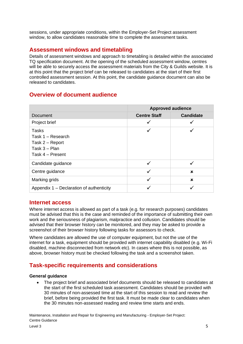sessions, under appropriate conditions, within the Employer-Set Project assessment window, to allow candidates reasonable time to complete the assessment tasks.

### <span id="page-4-0"></span>**Assessment windows and timetabling**

Details of assessment windows and approach to timetabling is detailed within the associated TQ specification document. At the opening of the scheduled assessment window, centres will be able to securely access the assessment materials from the City & Guilds website. It is at this point that the project brief can be released to candidates at the start of their first controlled assessment session. At this point, the candidate guidance document can also be released to candidates.

### <span id="page-4-1"></span>**Overview of document audience**

|                                                                                      | <b>Approved audience</b> |                  |  |
|--------------------------------------------------------------------------------------|--------------------------|------------------|--|
| <b>Document</b>                                                                      | <b>Centre Staff</b>      | <b>Candidate</b> |  |
| Project brief                                                                        | ✓                        | ✓                |  |
| Tasks<br>Task 1 - Research<br>Task 2 – Report<br>Task $3 -$ Plan<br>Task 4 - Present | ✓                        |                  |  |
| Candidate guidance                                                                   | $\checkmark$             | ✓                |  |
| Centre guidance                                                                      | ✓                        | ×                |  |
| Marking grids                                                                        | $\checkmark$             | $\mathbf x$      |  |
| Appendix 1 – Declaration of authenticity                                             | ✓                        |                  |  |

#### <span id="page-4-2"></span>**Internet access**

Where internet access is allowed as part of a task (e.g. for research purposes) candidates must be advised that this is the case and reminded of the importance of submitting their own work and the seriousness of plagiarism, malpractice and collusion. Candidates should be advised that their browser history can be monitored, and they may be asked to provide a screenshot of their browser history following tasks for assessors to check.

Where candidates are allowed the use of computer equipment, but not the use of the internet for a task, equipment should be provided with internet capability disabled (e.g. Wi-Fi disabled, machine disconnected from network etc). In cases where this is not possible, as above, browser history must be checked following the task and a screenshot taken.

### <span id="page-4-3"></span>**Task-specific requirements and considerations**

#### **General guidance**

• The project brief and associated brief documents should be released to candidates at the start of the first scheduled task assessment. Candidates should be provided with 30 minutes of non-assessed time at the start of this session to read and review the brief, before being provided the first task. It must be made clear to candidates when the 30 minutes non-assessed reading and review time starts and ends.

Maintenance, Installation and Repair for Engineering and Manufacturing - Employer-Set Project: Centre Guidance  $L$ evel 3  $\sim$  5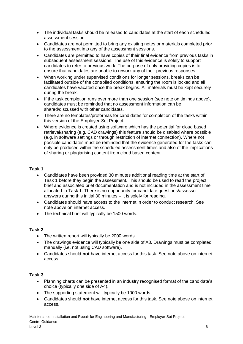- The individual tasks should be released to candidates at the start of each scheduled assessment session.
- Candidates are not permitted to bring any existing notes or materials completed prior to the assessment into any of the assessment sessions.
- Candidates are permitted to have copies of their final evidence from previous tasks in subsequent assessment sessions. The use of this evidence is solely to support candidates to refer to previous work. The purpose of only providing copies is to ensure that candidates are unable to rework any of their previous responses.
- When working under supervised conditions for longer sessions, breaks can be facilitated outside of the controlled conditions, ensuring the room is locked and all candidates have vacated once the break begins. All materials must be kept securely during the break.
- If the task completion runs over more than one session (see note on timings above), candidates must be reminded that no assessment information can be shared/discussed with other candidates.
- There are no templates/proformas for candidates for completion of the tasks within this version of the Employer-Set Project.
- Where evidence is created using software which has the potential for cloud based retrieval/sharing (e.g. CAD drawings) this feature should be disabled where possible (e.g. in software settings or through restriction of internet connection). Where not possible candidates must be reminded that the evidence generated for the tasks can only be produced within the scheduled assessment times and also of the implications of sharing or plagiarising content from cloud based content.

#### **Task 1**

- Candidates have been provided 30 minutes additional reading time at the start of Task 1 before they begin the assessment. This should be used to read the project brief and associated brief documentation and is not included in the assessment time allocated to Task 1. There is no opportunity for candidate questions/assessor answers during this initial 30 minutes – it is solely for reading.
- Candidates should have access to the Internet in order to conduct research. See note above on internet access.
- The technical brief will typically be 1500 words.

#### **Task 2**

- The written report will typically be 2000 words.
- The drawings evidence will typically be one side of A3. Drawings must be completed manually (i.e. not using CAD software).
- Candidates should **not** have internet access for this task. See note above on internet access.

#### **Task 3**

- Planning charts can be presented in an industry recognised format of the candidate's choice (typically one side of A4).
- The supporting statement will typically be 1000 words.
- Candidates should **not** have internet access for this task. See note above on internet access.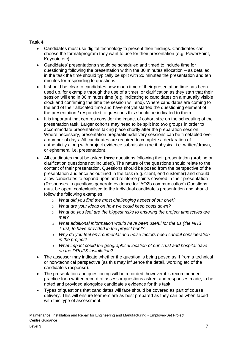#### **Task 4**

- Candidates must use digital technology to present their findings. Candidates can choose the format/program they want to use for their presentation (e.g. PowerPoint, Keynote etc).
- Candidates' presentations should be scheduled and timed to include time for questioning following the presentation within the 30 minutes allocation  $-$  as detailed in the task the time should typically be split with 20 minutes the presentation and ten minutes for responding to questions.
- It should be clear to candidates how much time of their presentation time has been used up, for example through the use of a timer, or clarification as they start that their session will end in 30 minutes time (e.g. indicating to candidates on a mutually visible clock and confirming the time the session will end). Where candidates are coming to the end of their allocated time and have not yet started the questioning element of the presentation / responded to questions this should be indicated to them.
- It is important that centres consider the impact of cohort size on the scheduling of the presentation task. Larger cohorts may need to be split into two groups in order to accommodate presentations taking place shortly after the preparation session. Where necessary, presentation preparation/delivery sessions can be timetabled over a number of days. All candidates are required to complete a declaration of authenticity along with project evidence submission (be it physical i.e. written/drawn, or ephemeral i.e. presentation).
- All candidates must be asked **three** questions following their presentation (probing or clarification questions not included). The nature of the questions should relate to the content of their presentation. Questions should be posed from the perspective of the presentation audience as outlined in the task (e.g. client, end customer) and should allow candidates to expand upon and reinforce points covered in their presentation (Responses to questions generate evidence for 'AO2b communication') Questions must be open, contextualised to the individual candidate's presentation and should follow the following examples;
	- o *What did you find the most challenging aspect of our brief?*
	- o *What are your ideas on how we could keep costs down?*
	- o *What do you feel are the biggest risks to ensuring the project timescales are met?*
	- o *What additional information would have been useful for the us (the NHS Trust) to have provided in the project brief?*
	- o *Why do you feel environmental and noise factors need careful consideration in the project?*
	- o *What impact could the geographical location of our Trust and hospital have on the DRUPS installation?*
- The assessor may indicate whether the question is being posed as if from a technical or non-technical perspective (as this may influence the detail, wording etc of the candidate's response).
- The presentation and questioning will be recorded; however it is recommended practice for a written record of assessor questions asked, and responses made, to be noted and provided alongside candidate's evidence for this task.
- Types of questions that candidates will face should be covered as part of course delivery. This will ensure learners are as best prepared as they can be when faced with this type of assessment.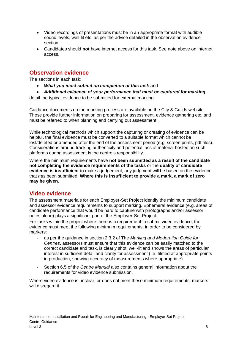- Video recordings of presentations must be in an appropriate format with audible sound levels, well-lit etc. as per the advice detailed in the observation evidence section.
- Candidates should **not** have internet access for this task. See note above on internet access.

#### <span id="page-7-0"></span>**Observation evidence**

The sections in each task:

- *What you must submit on completion of this task* and
- *Additional evidence of your performance that must be captured for marking*

detail the typical evidence to be submitted for external marking.

Guidance documents on the marking process are available on the City & Guilds website. These provide further information on preparing for assessment, evidence gathering etc. and must be referred to when planning and carrying out assessment.

While technological methods which support the capturing or creating of evidence can be helpful, the final evidence must be converted to a suitable format which cannot be lost/deleted or amended after the end of the assessment period (e.g. screen prints, pdf files). Considerations around tracking authenticity and potential loss of material hosted on such platforms during assessment is the centre's responsibility.

Where the minimum requirements have **not been submitted as a result of the candidate not completing the evidence requirements of the tasks** or the **quality of candidate evidence is insufficient** to make a judgement, any judgment will be based on the evidence that *has* been submitted. **Where this is insufficient to provide a mark, a mark of zero may be given.**

#### <span id="page-7-1"></span>**Video evidence**

The assessment materials for each Employer-Set Project identify the minimum candidate and assessor evidence requirements to support marking. Ephemeral evidence (e.g. areas of candidate performance that would be hard to capture with photographs and/or assessor notes alone) plays a significant part of the Employer-Set Project.

For tasks within the project where there is a requirement to submit video evidence, the evidence must meet the following minimum requirements, in order to be considered by markers:

- as per the guidance in section 2.3.2 of The Marking and Moderation Guide for *Centres*, assessors must ensure that this evidence can be easily matched to the correct candidate and task, is clearly shot, well-lit and shows the areas of particular interest in sufficient detail and clarity for assessment (i.e. filmed at appropriate points in production, showing accuracy of measurements where appropriate)
- Section 6.5 of the *Centre Manual* also contains general information about the requirements for video evidence submission.

Where video evidence is unclear, or does not meet these minimum requirements, markers will disregard it.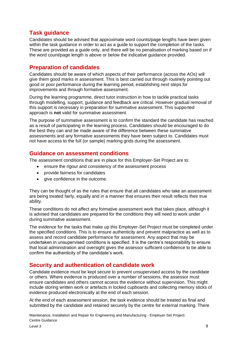### <span id="page-8-0"></span>**Task guidance**

Candidates should be advised that approximate word counts/page lengths have been given within the task guidance in order to act as a guide to support the completion of the tasks. These are provided as a guide only, and there will be no penalisation of marking based on if the word count/page length is above or below the indicative guidance provided.

### <span id="page-8-1"></span>**Preparation of candidates**

Candidates should be aware of which aspects of their performance (across the AOs) will give them good marks in assessment. This is best carried out through routinely pointing out good or poor performance during the learning period, establishing next steps for improvements and through formative assessment.

During the learning programme, direct tutor instruction in how to tackle practical tasks through modelling, support, guidance and feedback are critical. However gradual removal of this support is necessary in preparation for summative assessment. This supported approach is **not** valid for summative assessment.

The purpose of summative assessment is to confirm the standard the candidate has reached as a result of participating in the learning process. Candidates should be encouraged to do the best they can and be made aware of the difference between these summative assessments and any formative assessments they have been subject to. Candidates must not have access to the full (or sample) marking grids during the assessment.

#### <span id="page-8-2"></span>**Guidance on assessment conditions**

The assessment conditions that are in place for this Employer-Set Project are to:

- ensure the rigour and consistency of the assessment process
- provide fairness for candidates
- give confidence in the outcome.

They can be thought of as the rules that ensure that all candidates who take an assessment are being treated fairly, equally and in a manner that ensures their result reflects their true ability.

These conditions do not affect any formative assessment work that takes place, although it is advised that candidates are prepared for the conditions they will need to work under during summative assessment.

The evidence for the tasks that make up this Employer-Set Project must be completed under the specified conditions. This is to ensure authenticity and prevent malpractice as well as to assess and record candidate performance for assessment. Any aspect that may be undertaken in unsupervised conditions is specified. It is the centre's responsibility to ensure that local administration and oversight gives the assessor sufficient confidence to be able to confirm the authenticity of the candidate's work.

### <span id="page-8-3"></span>**Security and authentication of candidate work**

Candidate evidence must be kept secure to prevent unsupervised access by the candidate or others. Where evidence is produced over a number of sessions, the assessor must ensure candidates and others cannot access the evidence without supervision. This might include storing written work or artefacts in locked cupboards and collecting memory sticks of evidence produced electronically at the end of each session.

At the end of each assessment session, the task evidence should be treated as final and submitted by the candidate and retained securely by the centre for external marking. There

Maintenance, Installation and Repair for Engineering and Manufacturing - Employer-Set Project: Centre Guidance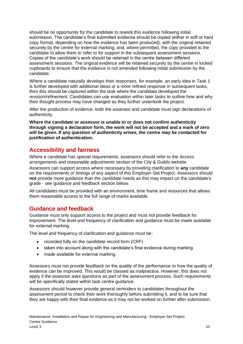should be no opportunity for the candidate to rework this evidence following initial submission. The candidate's final submitted evidence should be copied (either in soft or hard copy format, depending on how the evidence has been produced), with the original retained securely by the centre for external marking, and, where permitted, the copy provided to the candidate to allow them to refer to for support in the subsequent assessment sessions. Copies of the candidate's work should be retained in the centre between different assessment sessions. The original evidence will be retained securely by the centre in locked cupboards to ensure that the evidence is not amended following initial submission by the candidate.

Where a candidate naturally develops their responses, for example, an early idea in Task 1 is further developed with additional ideas or a more refined response in subsequent tasks, then this should be captured within the task where the candidate developed the revision/refinement. Candidates can use evaluation within later tasks to outline how and why their thought process may have changed as they further undertook the project.

After the production of evidence, both the assessor and candidate must sign declarations of authenticity.

**Where the candidate or assessor is unable to or does not confirm authenticity through signing a declaration form, the work will not be accepted and a mark of zero will be given. If any question of authenticity arises, the centre may be contacted for justification of authentication.**

### <span id="page-9-0"></span>**Accessibility and fairness**

Where a candidate has special requirements, assessors should refer to the *Access arrangements and reasonable adjustments* section of the City & Guilds website.

Assessors can support access where necessary by providing clarification to **any** candidate on the requirements or timings of any aspect of this Employer-Set Project. Assessors should **not** provide more guidance than the candidate needs as this may impact on the candidate's grade - see guidance and feedback section below.

All candidates must be provided with an environment, time frame and resources that allows them reasonable access to the full range of marks available.

### <span id="page-9-1"></span>**Guidance and feedback**

Guidance must only support access to the project and must not provide feedback for improvement. The level and frequency of clarification and guidance must be made available for external marking.

The level and frequency of clarification and guidance must be:

- recorded fully on the candidate record form (CRF)
- taken into account along with the candidate's final evidence during marking
- made available for external marking.

Assessors must not provide feedback on the quality of the performance or how the quality of evidence can be improved. This would be classed as malpractice. However, this does not apply if the assessor asks questions as part of the assessment process. Such requirements will be specifically stated within task centre quidance.

Assessors should however provide general reminders to candidates throughout the assessment period to check their work thoroughly before submitting it, and to be sure that they are happy with their final evidence as it may not be worked on further after submission.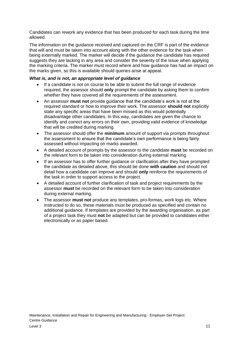Candidates can rework any evidence that has been produced for each task during the time allowed.

The information on the guidance received and captured on the CRF is part of the evidence that will and must be taken into account along with the other evidence for the task when being externally marked. The marker will decide if the guidance the candidate has required suggests they are lacking in any area and consider the severity of the issue when applying the marking criteria. The marker must record where and how guidance has had an impact on the marks given, so this is available should queries arise at appeal.

#### *What is, and is not, an appropriate level of guidance*

- If a candidate is not on course to be able to submit the full range of evidence required, the assessor should **only** prompt the candidate by asking them to confirm whether they have covered all the requirements of the assessment.
- An assessor **must not** provide guidance that the candidate's work is not at the required standard or how to improve their work. The assessor **should not** explicitly state any specific areas that have been missed as this would potentially disadvantage other candidates. In this way, candidates are given the chance to identify and correct any errors on their own, providing valid evidence of knowledge that will be credited during marking.
- The assessor should offer the **minimum** amount of support via prompts throughout the assessment to ensure that the candidate's own performance is being fairly assessed without impacting on marks awarded.
- A detailed account of prompts by the assessor to the candidate **must** be recorded on the relevant form to be taken into consideration during external marking.
- If an assessor has to offer further guidance or clarification after they have prompted the candidate as detailed above, this should be done **with caution** and should not detail how a candidate can improve and should **only** reinforce the requirements of the task in order to support access to the project.
- A detailed account of further clarification of task and project requirements by the assessor **must** be recorded on the relevant form to be taken into consideration during external marking.
- The assessor **must not** produce any templates, pro-formas, work logs etc. Where instructed to do so, these materials must be produced as specified and contain no additional guidance. If templates are provided by the awarding organisation, as part of a project task they must **not** be adapted but can be provided to candidates either electronically or as paper based.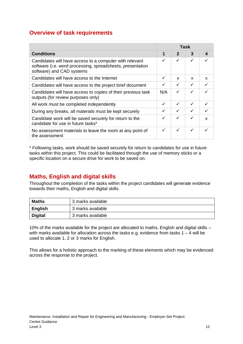### <span id="page-11-0"></span>**Overview of task requirements**

|                                                                                                                                                    |     |              | Task         |   |
|----------------------------------------------------------------------------------------------------------------------------------------------------|-----|--------------|--------------|---|
| <b>Conditions</b>                                                                                                                                  | 1   | $\mathbf{2}$ | 3            | 4 |
| Candidates will have access to a computer with relevant<br>software (i.e. word processing, spreadsheets, presentation<br>software) and CAD systems | ✓   | ✓            | ✓            |   |
| Candidates will have access to the Internet                                                                                                        | ✓   | x            | x            | x |
| Candidates will have access to the project brief document                                                                                          | ✓   | $\checkmark$ | $\checkmark$ |   |
| Candidates will have access to copies of their previous task<br>outputs (for review purposes only)                                                 | N/A | ✓            | ✓            |   |
| All work must be completed independently                                                                                                           | ✓   | ✓            | ✓            |   |
| During any breaks, all materials must be kept securely                                                                                             | ✓   | ✓            | ✓            |   |
| Candidate work will be saved securely for return to the<br>candidate for use in future tasks*                                                      | ✓   | ✓            | ✓            | X |
| No assessment materials to leave the room at any point of<br>the assessment                                                                        | ✓   | ✓            | ✓            |   |

\* Following tasks, work should be saved securely for return to candidates for use in future tasks within this project. This could be facilitated through the use of memory sticks or a specific location on a secure drive for work to be saved on.

### <span id="page-11-1"></span>**Maths, English and digital skills**

Throughout the completion of the tasks within the project candidates will generate evidence towards their maths, English and digital skills.

| <b>Maths</b>   | 3 marks available |
|----------------|-------------------|
| <b>English</b> | 3 marks available |
| <b>Digital</b> | 3 marks available |

10% of the marks available for the project are allocated to maths, English and digital skills – with marks available for allocation across the tasks e.g. evidence from tasks  $1 - 4$  will be used to allocate 1, 2 or 3 marks for English.

This allows for a holistic approach to the marking of these elements which may be evidenced across the response to the project.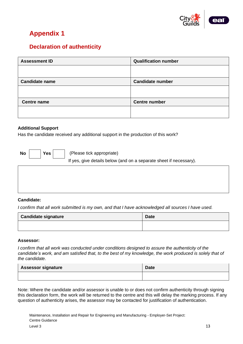

# <span id="page-12-0"></span>**Appendix 1**

### <span id="page-12-1"></span>**Declaration of authenticity**

| <b>Assessment ID</b>  | <b>Qualification number</b> |
|-----------------------|-----------------------------|
|                       |                             |
|                       |                             |
| <b>Candidate name</b> | <b>Candidate number</b>     |
|                       |                             |
|                       |                             |
| <b>Centre name</b>    | <b>Centre number</b>        |
|                       |                             |
|                       |                             |

#### **Additional Support**

Has the candidate received any additional support in the production of this work?

**No Yes**

(Please tick appropriate)

If yes, give details below (and on a separate sheet if necessary).

#### **Candidate:**

*I confirm that all work submitted is my own, and that I have acknowledged all sources I have used.*

| <b>Candidate signature</b> | <b>Date</b> |
|----------------------------|-------------|
|                            |             |

#### **Assessor:**

*I confirm that all work was conducted under conditions designed to assure the authenticity of the candidate's work, and am satisfied that, to the best of my knowledge, the work produced is solely that of the candidate.*

| <b>Assessor signature</b> | <b>Date</b> |
|---------------------------|-------------|
|                           |             |

Note: Where the candidate and/or assessor is unable to or does not confirm authenticity through signing this declaration form, the work will be returned to the centre and this will delay the marking process. If any question of authenticity arises, the assessor may be contacted for justification of authentication.